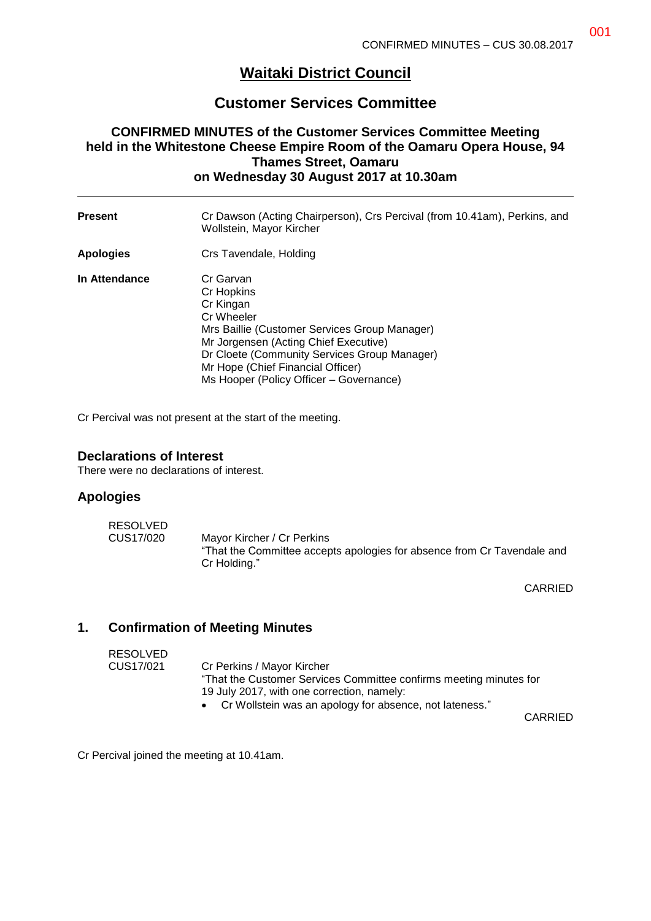# **Waitaki District Council**

## **Customer Services Committee**

### **CONFIRMED MINUTES of the Customer Services Committee Meeting held in the Whitestone Cheese Empire Room of the Oamaru Opera House, 94 Thames Street, Oamaru on Wednesday 30 August 2017 at 10.30am**

| <b>Present</b>   | Cr Dawson (Acting Chairperson), Crs Percival (from 10.41am), Perkins, and<br>Wollstein, Mayor Kircher                                                                                                                                                                        |
|------------------|------------------------------------------------------------------------------------------------------------------------------------------------------------------------------------------------------------------------------------------------------------------------------|
| <b>Apologies</b> | Crs Tavendale, Holding                                                                                                                                                                                                                                                       |
| In Attendance    | Cr Garvan<br>Cr Hopkins<br>Cr Kingan<br>Cr Wheeler<br>Mrs Baillie (Customer Services Group Manager)<br>Mr Jorgensen (Acting Chief Executive)<br>Dr Cloete (Community Services Group Manager)<br>Mr Hope (Chief Financial Officer)<br>Ms Hooper (Policy Officer - Governance) |

Cr Percival was not present at the start of the meeting.

#### **Declarations of Interest**

There were no declarations of interest.

#### **Apologies**

| <b>RESOLVED</b> |                                                                                                                       |
|-----------------|-----------------------------------------------------------------------------------------------------------------------|
| CUS17/020       | Mayor Kircher / Cr Perkins<br>"That the Committee accepts apologies for absence from Cr Tavendale and<br>Cr Holding." |

CARRIED

#### **1. Confirmation of Meeting Minutes**

| RESOLVED  |                                                                    |
|-----------|--------------------------------------------------------------------|
| CUS17/021 | Cr Perkins / Mayor Kircher                                         |
|           | "That the Customer Services Committee confirms meeting minutes for |
|           | 19 July 2017, with one correction, namely:                         |
|           | • Cr Wollstein was an apology for absence, not lateness."          |
|           |                                                                    |

CARRIED

Cr Percival joined the meeting at 10.41am.